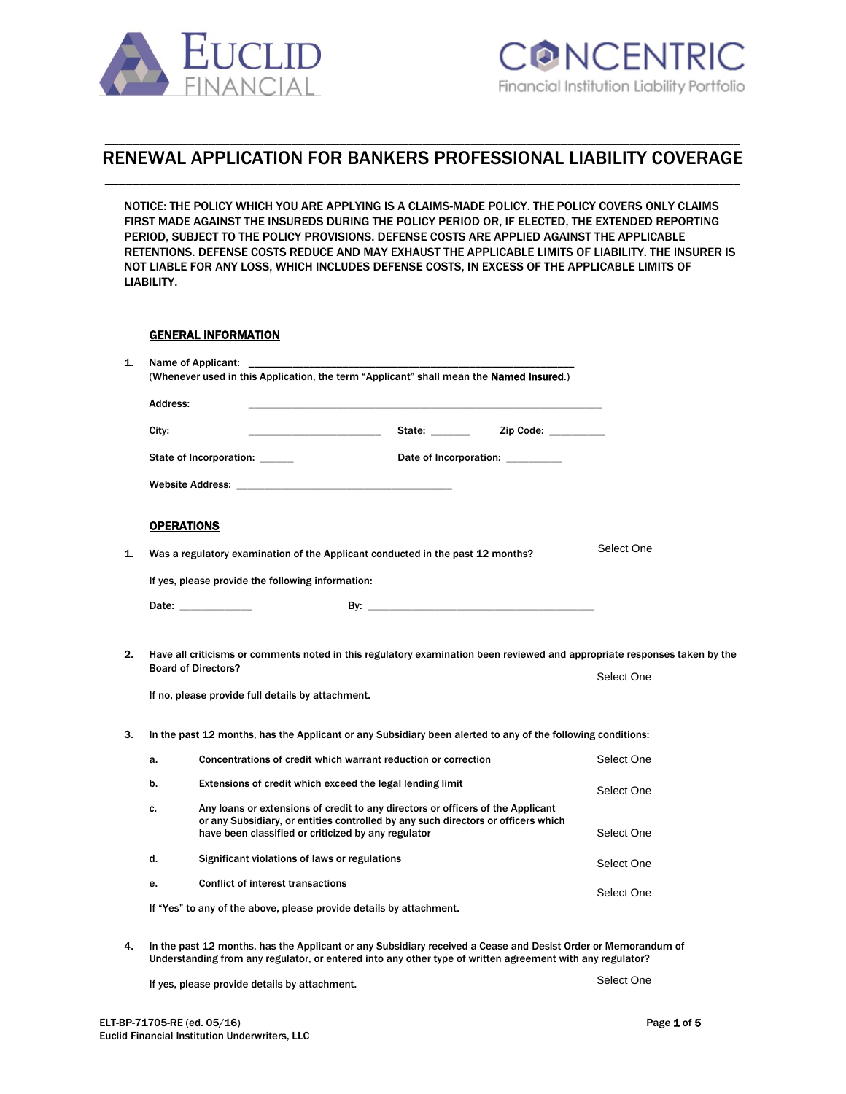

# \_\_\_\_\_\_\_\_\_\_\_\_\_\_\_\_\_\_\_\_\_\_\_\_\_\_\_\_\_\_\_\_\_\_\_\_\_\_\_\_\_\_\_\_\_\_\_\_\_\_\_\_\_\_\_\_\_\_\_\_\_\_\_\_\_\_\_\_\_\_\_\_\_\_\_\_\_\_\_\_\_\_\_\_\_\_\_\_\_\_\_\_ RENEWAL APPLICATION FOR BANKERS PROFESSIONAL LIABILITY COVERAGE \_\_\_\_\_\_\_\_\_\_\_\_\_\_\_\_\_\_\_\_\_\_\_\_\_\_\_\_\_\_\_\_\_\_\_\_\_\_\_\_\_\_\_\_\_\_\_\_\_\_\_\_\_\_\_\_\_\_\_\_\_\_\_\_\_\_\_\_\_\_\_\_\_\_\_\_\_\_\_\_\_\_\_\_\_\_\_\_\_\_\_\_

NOTICE: THE POLICY WHICH YOU ARE APPLYING IS A CLAIMS-MADE POLICY. THE POLICY COVERS ONLY CLAIMS FIRST MADE AGAINST THE INSUREDS DURING THE POLICY PERIOD OR, IF ELECTED, THE EXTENDED REPORTING PERIOD, SUBJECT TO THE POLICY PROVISIONS. DEFENSE COSTS ARE APPLIED AGAINST THE APPLICABLE RETENTIONS. DEFENSE COSTS REDUCE AND MAY EXHAUST THE APPLICABLE LIMITS OF LIABILITY. THE INSURER IS NOT LIABLE FOR ANY LOSS, WHICH INCLUDES DEFENSE COSTS, IN EXCESS OF THE APPLICABLE LIMITS OF LIABILITY.

## GENERAL INFORMATION

| 1. | Name of Applicant: ____________<br>(Whenever used in this Application, the term "Applicant" shall mean the Named Insured.) |                                                                                                                                                                                                                                      |                                  |            |  |
|----|----------------------------------------------------------------------------------------------------------------------------|--------------------------------------------------------------------------------------------------------------------------------------------------------------------------------------------------------------------------------------|----------------------------------|------------|--|
|    | Address:                                                                                                                   |                                                                                                                                                                                                                                      |                                  |            |  |
|    | City:                                                                                                                      |                                                                                                                                                                                                                                      |                                  |            |  |
|    |                                                                                                                            | State of Incorporation: _____                                                                                                                                                                                                        | Date of Incorporation: _________ |            |  |
|    |                                                                                                                            | <b>Website Address: Annual Executive Structure Production Control Control Control Control Control Control Control Control Control Control Control Control Control Control Control Control Control Control Control Control Contro</b> |                                  |            |  |
|    | <b>OPERATIONS</b>                                                                                                          |                                                                                                                                                                                                                                      |                                  |            |  |
| 1. |                                                                                                                            | Was a regulatory examination of the Applicant conducted in the past 12 months?                                                                                                                                                       |                                  | Select One |  |
|    |                                                                                                                            | If yes, please provide the following information:                                                                                                                                                                                    |                                  |            |  |
|    |                                                                                                                            | Date: the contract of the contract of the contract of the contract of the contract of the contract of the contract of the contract of the contract of the contract of the contract of the contract of the contract of the cont       |                                  |            |  |
| 2. |                                                                                                                            | Have all criticisms or comments noted in this regulatory examination been reviewed and appropriate responses taken by the<br><b>Board of Directors?</b>                                                                              |                                  | Select One |  |
|    |                                                                                                                            | If no, please provide full details by attachment.                                                                                                                                                                                    |                                  |            |  |
| 3. | In the past 12 months, has the Applicant or any Subsidiary been alerted to any of the following conditions:                |                                                                                                                                                                                                                                      |                                  |            |  |
|    | a.                                                                                                                         | Concentrations of credit which warrant reduction or correction                                                                                                                                                                       |                                  | Select One |  |
|    | b.                                                                                                                         | Extensions of credit which exceed the legal lending limit                                                                                                                                                                            |                                  | Select One |  |
|    | c.                                                                                                                         | Any loans or extensions of credit to any directors or officers of the Applicant<br>or any Subsidiary, or entities controlled by any such directors or officers which<br>have been classified or criticized by any regulator          |                                  | Select One |  |
|    | d.                                                                                                                         | Significant violations of laws or regulations                                                                                                                                                                                        |                                  | Select One |  |
|    | e.                                                                                                                         | <b>Conflict of interest transactions</b>                                                                                                                                                                                             |                                  | Select One |  |
|    |                                                                                                                            | If "Yes" to any of the above, please provide details by attachment.                                                                                                                                                                  |                                  |            |  |
| 4. |                                                                                                                            | In the past 12 months, has the Applicant or any Subsidiary received a Cease and Desist Order or Memorandum of<br>Understanding from any regulator, or entered into any other type of written agreement with any regulator?           |                                  |            |  |
|    |                                                                                                                            | If yes, please provide details by attachment.                                                                                                                                                                                        |                                  | Select One |  |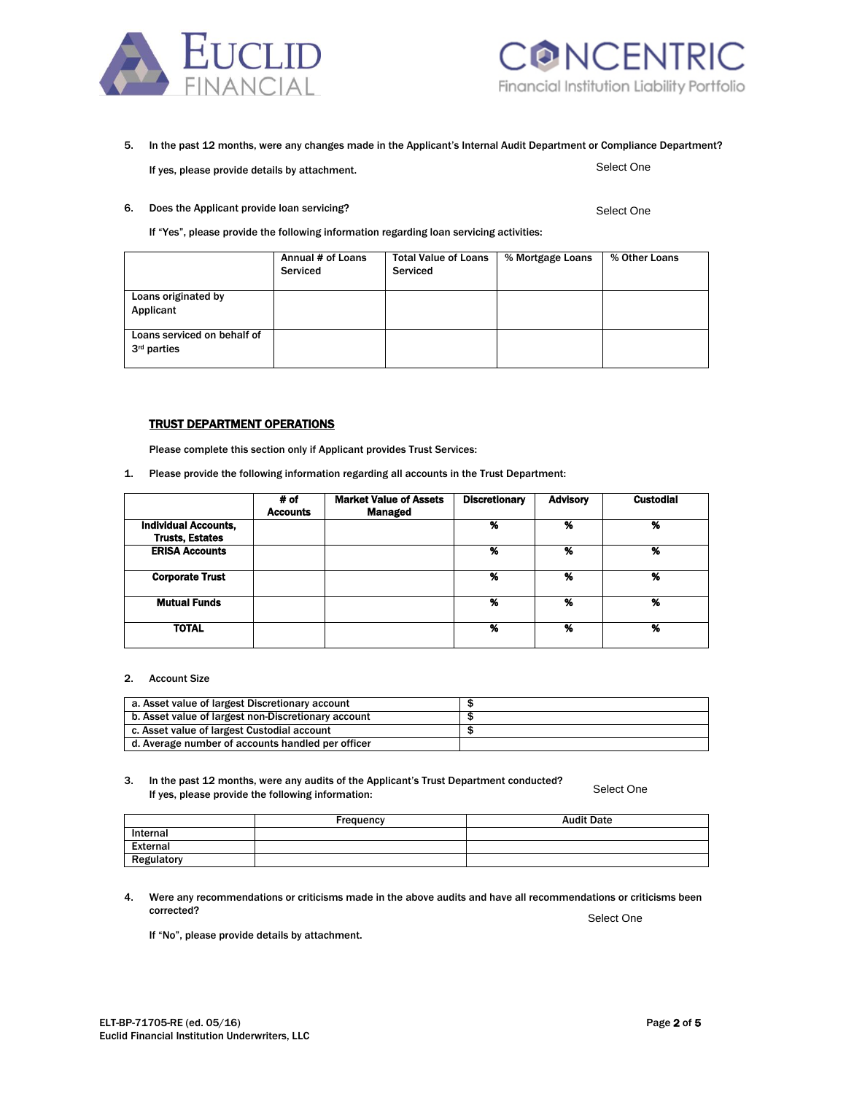



#### 5. In the past 12 months, were any changes made in the Applicant's Internal Audit Department or Compliance Department? Select One If yes, please provide details by attachment.

6. Does the Applicant provide loan servicing?

Select One

If "Yes", please provide the following information regarding loan servicing activities:

|                                                        | Annual # of Loans<br>Serviced | <b>Total Value of Loans</b><br>Serviced | % Mortgage Loans | % Other Loans |
|--------------------------------------------------------|-------------------------------|-----------------------------------------|------------------|---------------|
| Loans originated by<br>Applicant                       |                               |                                         |                  |               |
| Loans serviced on behalf of<br>3 <sup>rd</sup> parties |                               |                                         |                  |               |

## TRUST DEPARTMENT OPERATIONS

Please complete this section only if Applicant provides Trust Services:

1. Please provide the following information regarding all accounts in the Trust Department:

|                             | # of            | <b>Market Value of Assets</b> | <b>Discretionary</b> | <b>Advisory</b> | <b>Custodial</b> |
|-----------------------------|-----------------|-------------------------------|----------------------|-----------------|------------------|
|                             | <b>Accounts</b> | <b>Managed</b>                |                      |                 |                  |
| <b>Individual Accounts,</b> |                 |                               | %                    | %               | %                |
| <b>Trusts, Estates</b>      |                 |                               |                      |                 |                  |
| <b>ERISA Accounts</b>       |                 |                               | %                    | %               | %                |
|                             |                 |                               |                      |                 |                  |
| <b>Corporate Trust</b>      |                 |                               | %                    | %               | %                |
|                             |                 |                               |                      |                 |                  |
| <b>Mutual Funds</b>         |                 |                               | %                    | %               | %                |
|                             |                 |                               |                      |                 |                  |
| <b>TOTAL</b>                |                 |                               | %                    | %               | %                |
|                             |                 |                               |                      |                 |                  |

#### 2. Account Size

| a. Asset value of largest Discretionary account     |  |
|-----------------------------------------------------|--|
| b. Asset value of largest non-Discretionary account |  |
| c. Asset value of largest Custodial account         |  |
| d. Average number of accounts handled per officer   |  |

#### 3. In the past 12 months, were any audits of the Applicant's Trust Department conducted? If yes, please provide the following information: Select One

|            | Frequency | <b>Audit Date</b> |
|------------|-----------|-------------------|
| Internal   |           |                   |
| External   |           |                   |
| Regulatory |           |                   |

4. Were any recommendations or criticisms made in the above audits and have all recommendations or criticisms been corrected?

Select One

If "No", please provide details by attachment.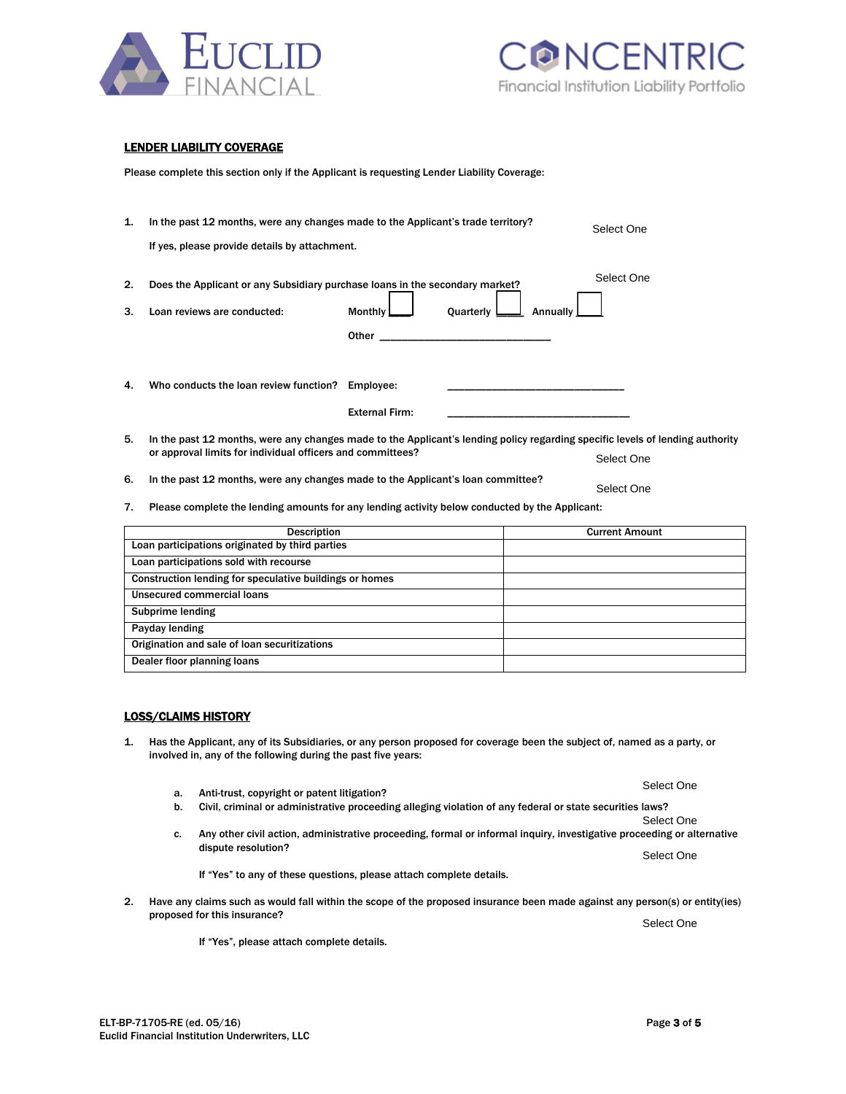



## LENDER LIABILITY COVERAGE

Please complete this section only if the Applicant is requesting Lender Liability Coverage:

| 1.                                                                                                                                                                                               | In the past 12 months, were any changes made to the Applicant's trade territory?                                                                                                                          |                       |  | Select One |            |  |
|--------------------------------------------------------------------------------------------------------------------------------------------------------------------------------------------------|-----------------------------------------------------------------------------------------------------------------------------------------------------------------------------------------------------------|-----------------------|--|------------|------------|--|
|                                                                                                                                                                                                  | If yes, please provide details by attachment.                                                                                                                                                             |                       |  |            |            |  |
| 2.<br>3.                                                                                                                                                                                         | Does the Applicant or any Subsidiary purchase loans in the secondary market?<br>Loan reviews are conducted:<br>Quarterly L<br>Annually<br>Monthly I                                                       |                       |  | Select One |            |  |
|                                                                                                                                                                                                  |                                                                                                                                                                                                           |                       |  |            |            |  |
|                                                                                                                                                                                                  |                                                                                                                                                                                                           |                       |  |            |            |  |
| 4.                                                                                                                                                                                               | Who conducts the loan review function?                                                                                                                                                                    | Employee:             |  |            |            |  |
|                                                                                                                                                                                                  |                                                                                                                                                                                                           | <b>External Firm:</b> |  |            |            |  |
| 5.                                                                                                                                                                                               | In the past 12 months, were any changes made to the Applicant's lending policy regarding specific levels of lending authority<br>or approval limits for individual officers and committees?<br>Select One |                       |  |            |            |  |
| 6.                                                                                                                                                                                               | In the past 12 months, were any changes made to the Applicant's loan committee?<br>Select One                                                                                                             |                       |  |            |            |  |
| 7.                                                                                                                                                                                               | Please complete the lending amounts for any lending activity below conducted by the Applicant:                                                                                                            |                       |  |            |            |  |
|                                                                                                                                                                                                  | <b>Current Amount</b><br><b>Description</b>                                                                                                                                                               |                       |  |            |            |  |
| Loan participations originated by third parties                                                                                                                                                  |                                                                                                                                                                                                           |                       |  |            |            |  |
|                                                                                                                                                                                                  | Loan participations sold with recourse                                                                                                                                                                    |                       |  |            |            |  |
| Construction lending for speculative buildings or homes                                                                                                                                          |                                                                                                                                                                                                           |                       |  |            |            |  |
|                                                                                                                                                                                                  | Unsecured commercial loans                                                                                                                                                                                |                       |  |            |            |  |
|                                                                                                                                                                                                  | <b>Subprime lending</b>                                                                                                                                                                                   |                       |  |            |            |  |
|                                                                                                                                                                                                  | Payday lending                                                                                                                                                                                            |                       |  |            |            |  |
|                                                                                                                                                                                                  | Origination and sale of loan securitizations                                                                                                                                                              |                       |  |            |            |  |
| Dealer floor planning loans                                                                                                                                                                      |                                                                                                                                                                                                           |                       |  |            |            |  |
|                                                                                                                                                                                                  |                                                                                                                                                                                                           |                       |  |            |            |  |
|                                                                                                                                                                                                  |                                                                                                                                                                                                           |                       |  |            |            |  |
|                                                                                                                                                                                                  | <b>LOSS/CLAIMS HISTORY</b>                                                                                                                                                                                |                       |  |            |            |  |
| Has the Applicant, any of its Subsidiaries, or any person proposed for coverage been the subject of, named as a party, or<br>1.<br>involved in, any of the following during the past five years: |                                                                                                                                                                                                           |                       |  |            |            |  |
|                                                                                                                                                                                                  |                                                                                                                                                                                                           |                       |  |            | Select One |  |

| Unsecured commercial loans                   |  |
|----------------------------------------------|--|
| Subprime lending                             |  |
| Payday lending                               |  |
| Origination and sale of loan securitizations |  |
| Dealer floor planning loans                  |  |

### LOSS/CLAIMS HISTORY

- 1. Has the Applicant, any of its Subsidiaries, or any person proposed for coverage been the subject of, named as a party, or involved in, any of the following during the past five years:
	- a. Anti-trust, copyright or patent litigation? The second service of the second select One
	- b. Civil, criminal or administrative proceeding alleging violation of any federal or state securities laws?
	- c. Any other civil action, administrative proceeding, formal or informal inquiry, investigative proceeding or alternative dispute resolution?

If "Yes" to any of these questions, please attach complete details.

2. Have any claims such as would fall within the scope of the proposed insurance been made against any person(s) or entity(ies) proposed for this insurance? Select One

If "Yes", please attach complete details.

Select One

Select One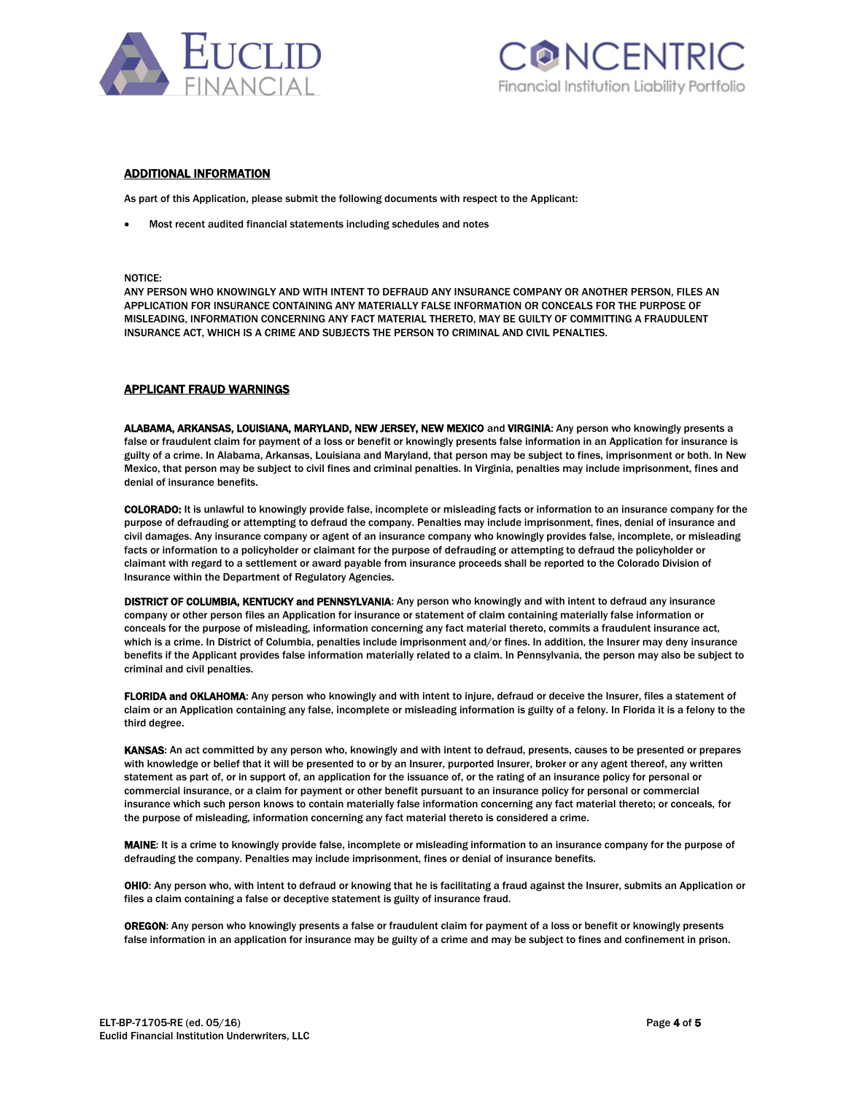



#### ADDITIONAL INFORMATION

As part of this Application, please submit the following documents with respect to the Applicant:

Most recent audited financial statements including schedules and notes

NOTICE:

ANY PERSON WHO KNOWINGLY AND WITH INTENT TO DEFRAUD ANY INSURANCE COMPANY OR ANOTHER PERSON, FILES AN APPLICATION FOR INSURANCE CONTAINING ANY MATERIALLY FALSE INFORMATION OR CONCEALS FOR THE PURPOSE OF MISLEADING, INFORMATION CONCERNING ANY FACT MATERIAL THERETO, MAY BE GUILTY OF COMMITTING A FRAUDULENT INSURANCE ACT, WHICH IS A CRIME AND SUBJECTS THE PERSON TO CRIMINAL AND CIVIL PENALTIES.

#### APPLICANT FRAUD WARNINGS

ALABAMA, ARKANSAS, LOUISIANA, MARYLAND, NEW JERSEY, NEW MEXICO and VIRGINIA: Any person who knowingly presents a false or fraudulent claim for payment of a loss or benefit or knowingly presents false information in an Application for insurance is guilty of a crime. In Alabama, Arkansas, Louisiana and Maryland, that person may be subject to fines, imprisonment or both. In New Mexico, that person may be subject to civil fines and criminal penalties. In Virginia, penalties may include imprisonment, fines and denial of insurance benefits.

COLORADO: It is unlawful to knowingly provide false, incomplete or misleading facts or information to an insurance company for the purpose of defrauding or attempting to defraud the company. Penalties may include imprisonment, fines, denial of insurance and civil damages. Any insurance company or agent of an insurance company who knowingly provides false, incomplete, or misleading facts or information to a policyholder or claimant for the purpose of defrauding or attempting to defraud the policyholder or claimant with regard to a settlement or award payable from insurance proceeds shall be reported to the Colorado Division of Insurance within the Department of Regulatory Agencies.

DISTRICT OF COLUMBIA, KENTUCKY and PENNSYLVANIA: Any person who knowingly and with intent to defraud any insurance company or other person files an Application for insurance or statement of claim containing materially false information or conceals for the purpose of misleading, information concerning any fact material thereto, commits a fraudulent insurance act, which is a crime. In District of Columbia, penalties include imprisonment and/or fines. In addition, the Insurer may deny insurance benefits if the Applicant provides false information materially related to a claim. In Pennsylvania, the person may also be subject to criminal and civil penalties.

FLORIDA and OKLAHOMA: Any person who knowingly and with intent to injure, defraud or deceive the Insurer, files a statement of claim or an Application containing any false, incomplete or misleading information is guilty of a felony. In Florida it is a felony to the third degree.

KANSAS: An act committed by any person who, knowingly and with intent to defraud, presents, causes to be presented or prepares with knowledge or belief that it will be presented to or by an Insurer, purported Insurer, broker or any agent thereof, any written statement as part of, or in support of, an application for the issuance of, or the rating of an insurance policy for personal or commercial insurance, or a claim for payment or other benefit pursuant to an insurance policy for personal or commercial insurance which such person knows to contain materially false information concerning any fact material thereto; or conceals, for the purpose of misleading, information concerning any fact material thereto is considered a crime.

MAINE: It is a crime to knowingly provide false, incomplete or misleading information to an insurance company for the purpose of defrauding the company. Penalties may include imprisonment, fines or denial of insurance benefits.

OHIO: Any person who, with intent to defraud or knowing that he is facilitating a fraud against the Insurer, submits an Application or files a claim containing a false or deceptive statement is guilty of insurance fraud.

OREGON: Any person who knowingly presents a false or fraudulent claim for payment of a loss or benefit or knowingly presents false information in an application for insurance may be guilty of a crime and may be subject to fines and confinement in prison.